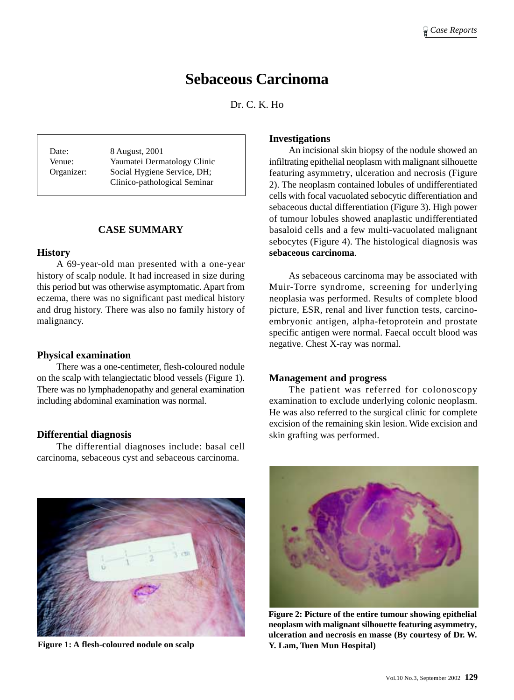# **Sebaceous Carcinoma**

Dr. C. K. Ho

Date: 8 August, 2001 Venue: Yaumatei Dermatology Clinic Organizer: Social Hygiene Service, DH; Clinico-pathological Seminar

## **CASE SUMMARY**

#### **History**

A 69-year-old man presented with a one-year history of scalp nodule. It had increased in size during this period but was otherwise asymptomatic. Apart from eczema, there was no significant past medical history and drug history. There was also no family history of malignancy.

### **Physical examination**

There was a one-centimeter, flesh-coloured nodule on the scalp with telangiectatic blood vessels (Figure 1). There was no lymphadenopathy and general examination including abdominal examination was normal.

### **Differential diagnosis**

The differential diagnoses include: basal cell carcinoma, sebaceous cyst and sebaceous carcinoma.



**Figure 1: A flesh-coloured nodule on scalp**

#### **Investigations**

An incisional skin biopsy of the nodule showed an infiltrating epithelial neoplasm with malignant silhouette featuring asymmetry, ulceration and necrosis (Figure 2). The neoplasm contained lobules of undifferentiated cells with focal vacuolated sebocytic differentiation and sebaceous ductal differentiation (Figure 3). High power of tumour lobules showed anaplastic undifferentiated basaloid cells and a few multi-vacuolated malignant sebocytes (Figure 4). The histological diagnosis was **sebaceous carcinoma**.

As sebaceous carcinoma may be associated with Muir-Torre syndrome, screening for underlying neoplasia was performed. Results of complete blood picture, ESR, renal and liver function tests, carcinoembryonic antigen, alpha-fetoprotein and prostate specific antigen were normal. Faecal occult blood was negative. Chest X-ray was normal.

#### **Management and progress**

The patient was referred for colonoscopy examination to exclude underlying colonic neoplasm. He was also referred to the surgical clinic for complete excision of the remaining skin lesion. Wide excision and skin grafting was performed.



**Figure 2: Picture of the entire tumour showing epithelial neoplasm with malignant silhouette featuring asymmetry, ulceration and necrosis en masse (By courtesy of Dr. W. Y. Lam, Tuen Mun Hospital)**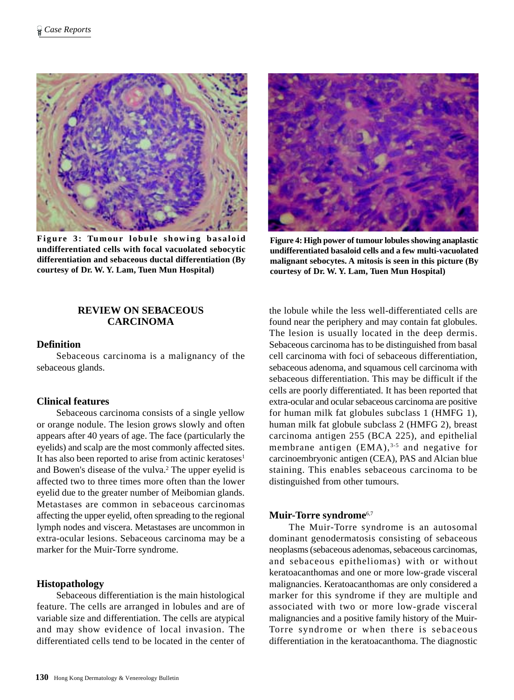

**Figure 3: Tumour lobule showing basaloid undifferentiated cells with focal vacuolated sebocytic differentiation and sebaceous ductal differentiation (By courtesy of Dr. W. Y. Lam, Tuen Mun Hospital)**

#### **REVIEW ON SEBACEOUS CARCINOMA**

#### **Definition**

Sebaceous carcinoma is a malignancy of the sebaceous glands.

## **Clinical features**

Sebaceous carcinoma consists of a single yellow or orange nodule. The lesion grows slowly and often appears after 40 years of age. The face (particularly the eyelids) and scalp are the most commonly affected sites. It has also been reported to arise from actinic keratoses<sup>1</sup> and Bowen's disease of the vulva.<sup>2</sup> The upper eyelid is affected two to three times more often than the lower eyelid due to the greater number of Meibomian glands. Metastases are common in sebaceous carcinomas affecting the upper eyelid, often spreading to the regional lymph nodes and viscera. Metastases are uncommon in extra-ocular lesions. Sebaceous carcinoma may be a marker for the Muir-Torre syndrome.

#### **Histopathology**

Sebaceous differentiation is the main histological feature. The cells are arranged in lobules and are of variable size and differentiation. The cells are atypical and may show evidence of local invasion. The differentiated cells tend to be located in the center of



**Figure 4: High power of tumour lobules showing anaplastic undifferentiated basaloid cells and a few multi-vacuolated malignant sebocytes. A mitosis is seen in this picture (By courtesy of Dr. W. Y. Lam, Tuen Mun Hospital)**

the lobule while the less well-differentiated cells are found near the periphery and may contain fat globules. The lesion is usually located in the deep dermis. Sebaceous carcinoma has to be distinguished from basal cell carcinoma with foci of sebaceous differentiation, sebaceous adenoma, and squamous cell carcinoma with sebaceous differentiation. This may be difficult if the cells are poorly differentiated. It has been reported that extra-ocular and ocular sebaceous carcinoma are positive for human milk fat globules subclass 1 (HMFG 1), human milk fat globule subclass 2 (HMFG 2), breast carcinoma antigen 255 (BCA 225), and epithelial membrane antigen  $(EMA)^{3.5}$  and negative for carcinoembryonic antigen (CEA), PAS and Alcian blue staining. This enables sebaceous carcinoma to be distinguished from other tumours.

#### **Muir-Torre syndrome**6,7

The Muir-Torre syndrome is an autosomal dominant genodermatosis consisting of sebaceous neoplasms (sebaceous adenomas, sebaceous carcinomas, and sebaceous epitheliomas) with or without keratoacanthomas and one or more low-grade visceral malignancies. Keratoacanthomas are only considered a marker for this syndrome if they are multiple and associated with two or more low-grade visceral malignancies and a positive family history of the Muir-Torre syndrome or when there is sebaceous differentiation in the keratoacanthoma. The diagnostic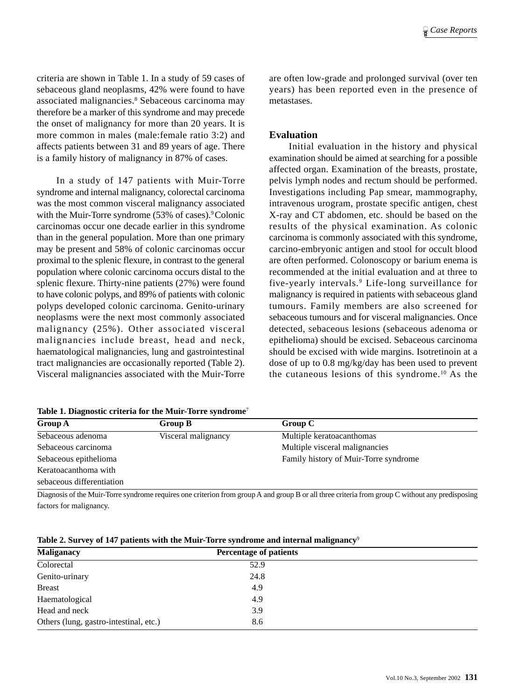criteria are shown in Table 1. In a study of 59 cases of sebaceous gland neoplasms, 42% were found to have associated malignancies.<sup>8</sup> Sebaceous carcinoma may therefore be a marker of this syndrome and may precede the onset of malignancy for more than 20 years. It is more common in males (male:female ratio 3:2) and affects patients between 31 and 89 years of age. There is a family history of malignancy in 87% of cases.

In a study of 147 patients with Muir-Torre syndrome and internal malignancy, colorectal carcinoma was the most common visceral malignancy associated with the Muir-Torre syndrome (53% of cases).<sup>9</sup> Colonic carcinomas occur one decade earlier in this syndrome than in the general population. More than one primary may be present and 58% of colonic carcinomas occur proximal to the splenic flexure, in contrast to the general population where colonic carcinoma occurs distal to the splenic flexure. Thirty-nine patients (27%) were found to have colonic polyps, and 89% of patients with colonic polyps developed colonic carcinoma. Genito-urinary neoplasms were the next most commonly associated malignancy (25%). Other associated visceral malignancies include breast, head and neck, haematological malignancies, lung and gastrointestinal tract malignancies are occasionally reported (Table 2). Visceral malignancies associated with the Muir-Torre

|  | Table 1. Diagnostic criteria for the Muir-Torre syndrome <sup>7</sup> |  |  |  |
|--|-----------------------------------------------------------------------|--|--|--|
|  |                                                                       |  |  |  |

are often low-grade and prolonged survival (over ten years) has been reported even in the presence of metastases.

#### **Evaluation**

Initial evaluation in the history and physical examination should be aimed at searching for a possible affected organ. Examination of the breasts, prostate, pelvis lymph nodes and rectum should be performed. Investigations including Pap smear, mammography, intravenous urogram, prostate specific antigen, chest X-ray and CT abdomen, etc. should be based on the results of the physical examination. As colonic carcinoma is commonly associated with this syndrome, carcino-embryonic antigen and stool for occult blood are often performed. Colonoscopy or barium enema is recommended at the initial evaluation and at three to five-yearly intervals.9 Life-long surveillance for malignancy is required in patients with sebaceous gland tumours. Family members are also screened for sebaceous tumours and for visceral malignancies. Once detected, sebaceous lesions (sebaceous adenoma or epithelioma) should be excised. Sebaceous carcinoma should be excised with wide margins. Isotretinoin at a dose of up to 0.8 mg/kg/day has been used to prevent the cutaneous lesions of this syndrome.10 As the

| <b>Group A</b>            | <b>Group B</b>      | Group C                               |
|---------------------------|---------------------|---------------------------------------|
| Sebaceous adenoma         | Visceral malignancy | Multiple keratoacanthomas             |
| Sebaceous carcinoma       |                     | Multiple visceral malignancies        |
| Sebaceous epithelioma     |                     | Family history of Muir-Torre syndrome |
| Keratoacanthoma with      |                     |                                       |
| sebaceous differentiation |                     |                                       |

Diagnosis of the Muir-Torre syndrome requires one criterion from group A and group B or all three criteria from group C without any predisposing factors for malignancy.

|  |  |  |  | Table 2. Survey of 147 patients with the Muir-Torre syndrome and internal malignancy <sup>9</sup> |
|--|--|--|--|---------------------------------------------------------------------------------------------------|
|--|--|--|--|---------------------------------------------------------------------------------------------------|

| <b>Maliganacy</b>                      | <b>Percentage of patients</b> |  |
|----------------------------------------|-------------------------------|--|
| Colorectal                             | 52.9                          |  |
| Genito-urinary                         | 24.8                          |  |
| <b>Breast</b>                          | 4.9                           |  |
| Haematological                         | 4.9                           |  |
| Head and neck                          | 3.9                           |  |
| Others (lung, gastro-intestinal, etc.) | 8.6                           |  |